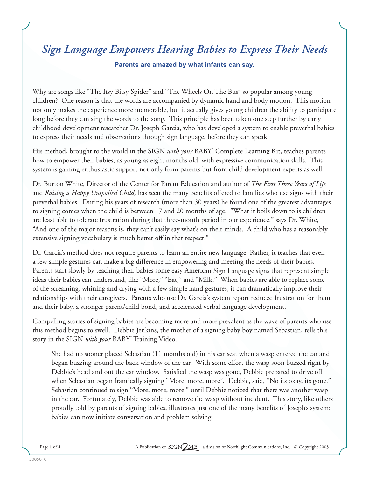# *Sign Language Empowers Hearing Babies to Express Their Needs* **Parents are amazed by what infants can say.**

Why are songs like "The Itsy Bitsy Spider" and "The Wheels On The Bus" so popular among young children? One reason is that the words are accompanied by dynamic hand and body motion. This motion not only makes the experience more memorable, but it actually gives young children the ability to participate long before they can sing the words to the song. This principle has been taken one step further by early childhood development researcher Dr. Joseph Garcia, who has developed a system to enable preverbal babies to express their needs and observations through sign language, before they can speak.

His method, brought to the world in the SIGN *with your* BABY° Complete Learning Kit, teaches parents how to empower their babies, as young as eight months old, with expressive communication skills. This system is gaining enthusiastic support not only from parents but from child development experts as well.

Dr. Burton White, Director of the Center for Parent Education and author of *The First Three Years of Life*  and *Raising a Happy Unspoiled Child,* has seen the many benefits offered to families who use signs with their preverbal babies. During his years of research (more than 30 years) he found one of the greatest advantages to signing comes when the child is between 17 and 20 months of age. "What it boils down to is children are least able to tolerate frustration during that three-month period in our experience." says Dr. White, "And one of the major reasons is, they can't easily say what's on their minds. A child who has a reasonably extensive signing vocabulary is much better off in that respect."

Dr. Garcia's method does not require parents to learn an entire new language. Rather, it teaches that even a few simple gestures can make a big difference in empowering and meeting the needs of their babies. Parents start slowly by teaching their babies some easy American Sign Language signs that represent simple ideas their babies can understand, like "More," "Eat," and "Milk." When babies are able to replace some of the screaming, whining and crying with a few simple hand gestures, it can dramatically improve their relationships with their caregivers. Parents who use Dr. Garcia's system report reduced frustration for them and their baby, a stronger parent/child bond, and accelerated verbal language development.

Compelling stories of signing babies are becoming more and more prevalent as the wave of parents who use this method begins to swell. Debbie Jenkins, the mother of a signing baby boy named Sebastian, tells this story in the SIGN *with your* BABY ® Training Video.

She had no sooner placed Sebastian (11 months old) in his car seat when a wasp entered the car and began buzzing around the back window of the car. With some effort the wasp soon buzzed right by Debbie's head and out the car window. Satisfied the wasp was gone, Debbie prepared to drive off when Sebastian began frantically signing "More, more, more". Debbie, said, "No its okay, its gone." Sebastian continued to sign "More, more, more," until Debbie noticed that there was another wasp in the car. Fortunately, Debbie was able to remove the wasp without incident. This story, like others proudly told by parents of signing babies, illustrates just one of the many benefits of Joseph's system: babies can now initiate conversation and problem solving.

Page 1 of 4 A Publication of SIGN ME | a division of Northlight Communications, Inc. | © Copyright 2003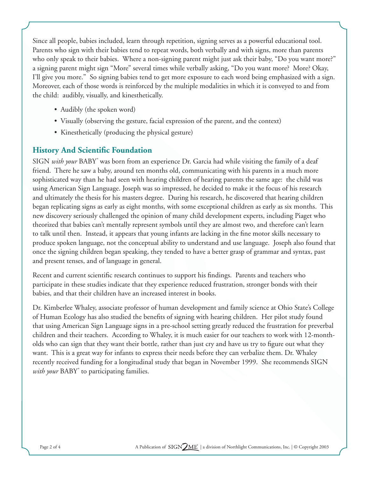Since all people, babies included, learn through repetition, signing serves as a powerful educational tool. Parents who sign with their babies tend to repeat words, both verbally and with signs, more than parents who only speak to their babies. Where a non-signing parent might just ask their baby, "Do you want more?" a signing parent might sign "More" several times while verbally asking, "Do you want more? More? Okay, I'll give you more." So signing babies tend to get more exposure to each word being emphasized with a sign. Moreover, each of those words is reinforced by the multiple modalities in which it is conveyed to and from the child: audibly, visually, and kinesthetically.

- Audibly (the spoken word)
- Visually (observing the gesture, facial expression of the parent, and the context)
- Kinesthetically (producing the physical gesture)

## **History And Scientific Foundation**

SIGN *with your* BABY<sup>®</sup> was born from an experience Dr. Garcia had while visiting the family of a deaf friend. There he saw a baby, around ten months old, communicating with his parents in a much more sophisticated way than he had seen with hearing children of hearing parents the same age: the child was using American Sign Language. Joseph was so impressed, he decided to make it the focus of his research and ultimately the thesis for his masters degree. During his research, he discovered that hearing children began replicating signs as early as eight months, with some exceptional children as early as six months. This new discovery seriously challenged the opinion of many child development experts, including Piaget who theorized that babies can't mentally represent symbols until they are almost two, and therefore can't learn to talk until then. Instead, it appears that young infants are lacking in the fine motor skills necessary to produce spoken language, not the conceptual ability to understand and use language. Joseph also found that once the signing children began speaking, they tended to have a better grasp of grammar and syntax, past and present tenses, and of language in general.

Recent and current scientific research continues to support his findings. Parents and teachers who participate in these studies indicate that they experience reduced frustration, stronger bonds with their babies, and that their children have an increased interest in books.

Dr. Kimberlee Whaley, associate professor of human development and family science at Ohio State's College of Human Ecology has also studied the benefits of signing with hearing children. Her pilot study found that using American Sign Language signs in a pre-school setting greatly reduced the frustration for preverbal children and their teachers. According to Whaley, it is much easier for our teachers to work with 12-montholds who can sign that they want their bottle, rather than just cry and have us try to figure out what they want. This is a great way for infants to express their needs before they can verbalize them. Dr. Whaley recently received funding for a longitudinal study that began in November 1999. She recommends SIGN *with your* BABY ® to participating families.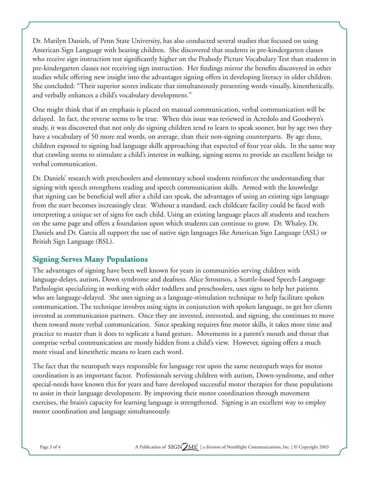Dr. Marilyn Daniels, of Penn State University, has also conducted several studies that focused on using American Sign Language with hearing children. She discovered that students in pre-kindergarten classes who receive sign instruction test significantly higher on the Peabody Picture Vocabulary Test than students in pre-kindergarten classes not receiving sign instruction. Her findings mirror the benefits discovered in other studies while offering new insight into the advantages signing offers in developing literacy in older children. She concluded: "Their superior scores indicate that simultaneously presenting words visually, kinesthetically, and verbally enhances a child's vocabulary development."

One might think that if an emphasis is placed on manual communication, verbal communication will be delayed. In fact, the reverse seems to be true. When this issue was reviewed in Acredolo and Goodwyn's study, it was discovered that not only do signing children tend to learn to speak sooner, but by age two they have a vocabulary of 50 more real words, on average, than their non-signing counterparts. By age three, children exposed to signing had language skills approaching that expected of four year olds. In the same way that crawling seems to stimulate a child's interest in walking, signing seems to provide an excellent bridge to verbal communication.

Dr. Daniels' research with preschoolers and elementary school students reinforces the understanding that signing with speech strengthens reading and speech communication skills. Armed with the knowledge that signing can be beneficial well after a child can speak, the advantages of using an existing sign language from the start becomes increasingly clear. Without a standard, each childcare facility could be faced with interpreting a unique set of signs for each child. Using an existing language places all students and teachers on the same page and offers a foundation upon which students can continue to grow. Dr. Whaley, Dr. Daniels and Dr. Garcia all support the use of native sign languages like American Sign Language (ASL) or British Sign Language (BSL).

### **Signing Serves Many Populations**

The advantages of signing have been well known for years in communities serving children with language-delays, autism, Down syndrome and deafness. Alice Stroutsos, a Seattle-based Speech-Language Pathologist specializing in working with older toddlers and preschoolers, uses signs to help her patients who are language-delayed. She uses signing as a language-stimulation technique to help facilitate spoken communication. The technique involves using signs in conjunction with spoken language, to get her clients invested as communication partners. Once they are invested, interested, and signing, she continues to move them toward more verbal communication. Since speaking requires fine motor skills, it takes more time and practice to master than it does to replicate a hand gesture. Movements in a parent's mouth and throat that comprise verbal communication are mostly hidden from a child's view. However, signing offers a much more visual and kinesthetic means to learn each word.

The fact that the neuropath ways responsible for language rest upon the same neuropath ways for motor coordination is an important factor. Professionals serving children with autism, Down-syndrome, and other special-needs have known this for years and have developed successful motor therapies for these populations to assist in their language development. By improving their motor coordination through movement exercises, the brain's capacity for learning language is strengthened. Signing is an excellent way to employ motor coordination and language simultaneously.